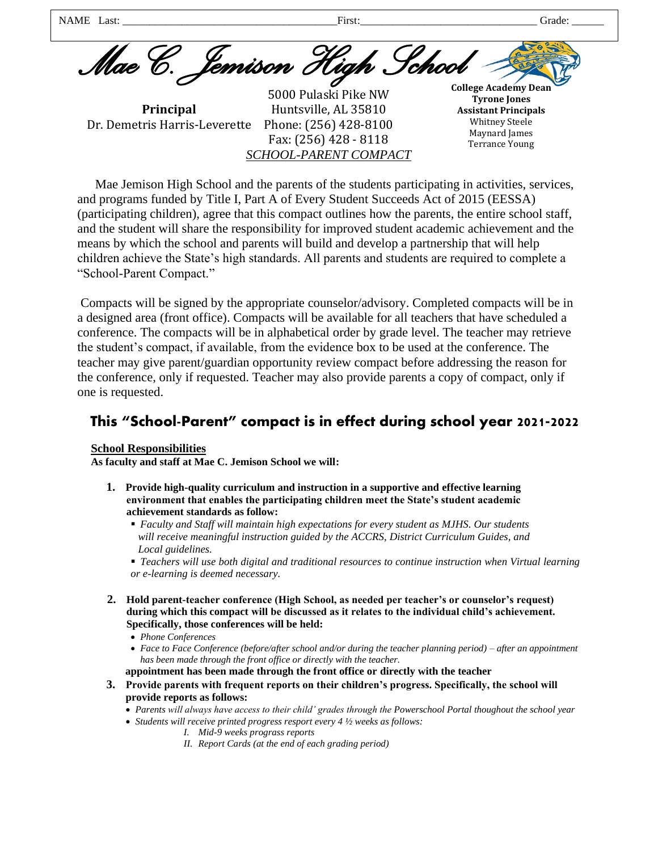Mae C. *Jemison High* **College Academy Dean**  NAME Last: \_\_\_\_\_\_\_\_\_\_\_\_\_\_\_\_\_\_\_\_\_\_\_\_\_\_\_\_\_\_\_\_\_\_\_\_\_\_\_\_First:\_\_\_\_\_\_\_\_\_\_\_\_\_\_\_\_\_\_\_\_\_\_\_\_\_\_\_\_\_\_\_\_\_ Grade: \_\_\_\_\_\_

**Principal**  Dr. Demetris Harris-Leverette

5000 Pulaski Pike NW Huntsville, AL 35810 Phone: (256) 428-8100 Fax: (256) 428 - 8118 *SCHOOL-PARENT COMPACT* 

**Tyrone Jones Assistant Principals**  Whitney Steele Maynard James Terrance Young

Mae Jemison High School and the parents of the students participating in activities, services, and programs funded by Title I, Part A of Every Student Succeeds Act of 2015 (EESSA) (participating children), agree that this compact outlines how the parents, the entire school staff, and the student will share the responsibility for improved student academic achievement and the means by which the school and parents will build and develop a partnership that will help children achieve the State's high standards. All parents and students are required to complete a "School-Parent Compact."

Compacts will be signed by the appropriate counselor/advisory. Completed compacts will be in a designed area (front office). Compacts will be available for all teachers that have scheduled a conference. The compacts will be in alphabetical order by grade level. The teacher may retrieve the student's compact, if available, from the evidence box to be used at the conference. The teacher may give parent/guardian opportunity review compact before addressing the reason for the conference, only if requested. Teacher may also provide parents a copy of compact, only if one is requested.

# This "School-Parent" compact is in effect during school year 2021-2022

# **School Responsibilities**

**As faculty and staff at Mae C. Jemison School we will:** 

- **1. Provide high-quality curriculum and instruction in a supportive and effective learning environment that enables the participating children meet the State's student academic achievement standards as follow:** 
	- *Faculty and Staff will maintain high expectations for every student as MJHS. Our students will receive meaningful instruction guided by the ACCRS, District Curriculum Guides, and Local guidelines.*
	- *Teachers will use both digital and traditional resources to continue instruction when Virtual learning or e-learning is deemed necessary.*
- **2. Hold parent-teacher conference (High School, as needed per teacher's or counselor's request) during which this compact will be discussed as it relates to the individual child's achievement. Specifically, those conferences will be held:** 
	- *Phone Conferences*
	- *Face to Face Conference (before/after school and/or during the teacher planning period) after an appointment has been made through the front office or directly with the teacher.*
	- **appointment has been made through the front office or directly with the teacher**
- **3. Provide parents with frequent reports on their children's progress. Specifically, the school will provide reports as follows:** 
	- *Parents will always have access to their child' grades through the Powerschool Portal thoughout the school year*
	- *Students will receive printed progress resport every 4 ½ weeks as follows:* 
		- *I. Mid-9 weeks prograss reports*
		- *II. Report Cards (at the end of each grading period)*